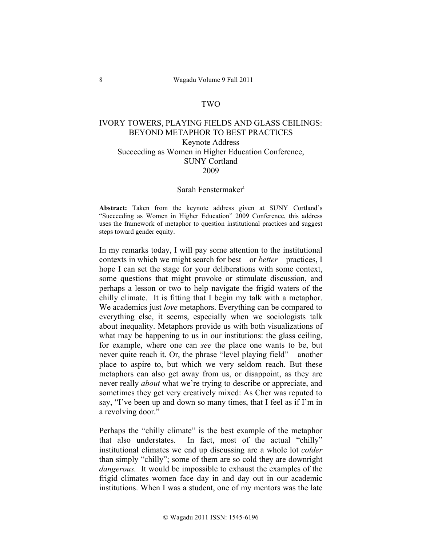## TWO

## IVORY TOWERS, PLAYING FIELDS AND GLASS CEILINGS: BEYOND METAPHOR TO BEST PRACTICES Keynote Address Succeeding as Women in Higher Education Conference, SUNY Cortland 2009

## Sarah Fenstermaker<sup>i</sup>

**Abstract:** Taken from the keynote address given at SUNY Cortland's "Succeeding as Women in Higher Education" 2009 Conference, this address uses the framework of metaphor to question institutional practices and suggest steps toward gender equity.

In my remarks today, I will pay some attention to the institutional contexts in which we might search for best – or *better* – practices, I hope I can set the stage for your deliberations with some context, some questions that might provoke or stimulate discussion, and perhaps a lesson or two to help navigate the frigid waters of the chilly climate. It is fitting that I begin my talk with a metaphor. We academics just *love* metaphors. Everything can be compared to everything else, it seems, especially when we sociologists talk about inequality. Metaphors provide us with both visualizations of what may be happening to us in our institutions: the glass ceiling, for example, where one can *see* the place one wants to be, but never quite reach it. Or, the phrase "level playing field" – another place to aspire to, but which we very seldom reach. But these metaphors can also get away from us, or disappoint, as they are never really *about* what we're trying to describe or appreciate, and sometimes they get very creatively mixed: As Cher was reputed to say, "I've been up and down so many times, that I feel as if I'm in a revolving door."

Perhaps the "chilly climate" is the best example of the metaphor that also understates. In fact, most of the actual "chilly" institutional climates we end up discussing are a whole lot *colder* than simply "chilly"; some of them are so cold they are downright *dangerous.* It would be impossible to exhaust the examples of the frigid climates women face day in and day out in our academic institutions. When I was a student, one of my mentors was the late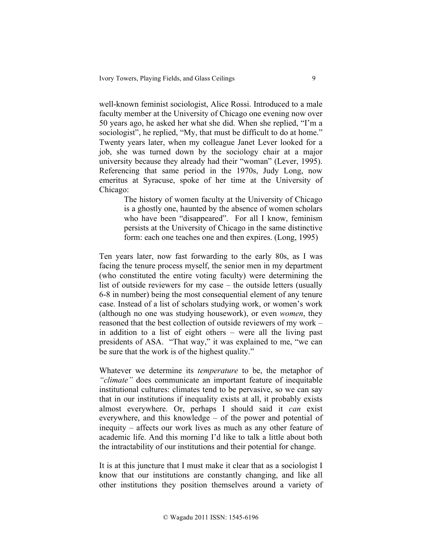well-known feminist sociologist, Alice Rossi. Introduced to a male faculty member at the University of Chicago one evening now over 50 years ago, he asked her what she did. When she replied, "I'm a sociologist", he replied, "My, that must be difficult to do at home." Twenty years later, when my colleague Janet Lever looked for a job, she was turned down by the sociology chair at a major university because they already had their "woman" (Lever, 1995). Referencing that same period in the 1970s, Judy Long, now emeritus at Syracuse, spoke of her time at the University of Chicago:

> The history of women faculty at the University of Chicago is a ghostly one, haunted by the absence of women scholars who have been "disappeared". For all I know, feminism persists at the University of Chicago in the same distinctive form: each one teaches one and then expires. (Long, 1995)

Ten years later, now fast forwarding to the early 80s, as I was facing the tenure process myself, the senior men in my department (who constituted the entire voting faculty) were determining the list of outside reviewers for my case – the outside letters (usually 6-8 in number) being the most consequential element of any tenure case. Instead of a list of scholars studying work, or women's work (although no one was studying housework), or even *women*, they reasoned that the best collection of outside reviewers of my work – in addition to a list of eight others – were all the living past presidents of ASA. "That way," it was explained to me, "we can be sure that the work is of the highest quality."

Whatever we determine its *temperature* to be, the metaphor of *"climate"* does communicate an important feature of inequitable institutional cultures: climates tend to be pervasive, so we can say that in our institutions if inequality exists at all, it probably exists almost everywhere. Or, perhaps I should said it *can* exist everywhere, and this knowledge – of the power and potential of inequity – affects our work lives as much as any other feature of academic life. And this morning I'd like to talk a little about both the intractability of our institutions and their potential for change.

It is at this juncture that I must make it clear that as a sociologist I know that our institutions are constantly changing, and like all other institutions they position themselves around a variety of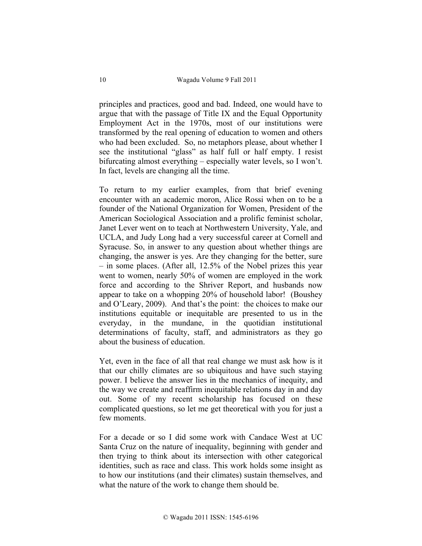principles and practices, good and bad. Indeed, one would have to argue that with the passage of Title IX and the Equal Opportunity Employment Act in the 1970s, most of our institutions were transformed by the real opening of education to women and others who had been excluded. So, no metaphors please, about whether I see the institutional "glass" as half full or half empty. I resist bifurcating almost everything – especially water levels, so I won't. In fact, levels are changing all the time.

To return to my earlier examples, from that brief evening encounter with an academic moron, Alice Rossi when on to be a founder of the National Organization for Women, President of the American Sociological Association and a prolific feminist scholar, Janet Lever went on to teach at Northwestern University, Yale, and UCLA, and Judy Long had a very successful career at Cornell and Syracuse. So, in answer to any question about whether things are changing, the answer is yes. Are they changing for the better, sure – in some places. (After all, 12.5% of the Nobel prizes this year went to women, nearly 50% of women are employed in the work force and according to the Shriver Report, and husbands now appear to take on a whopping 20% of household labor! (Boushey and O'Leary, 2009). And that's the point: the choices to make our institutions equitable or inequitable are presented to us in the everyday, in the mundane, in the quotidian institutional determinations of faculty, staff, and administrators as they go about the business of education.

Yet, even in the face of all that real change we must ask how is it that our chilly climates are so ubiquitous and have such staying power. I believe the answer lies in the mechanics of inequity, and the way we create and reaffirm inequitable relations day in and day out. Some of my recent scholarship has focused on these complicated questions, so let me get theoretical with you for just a few moments.

For a decade or so I did some work with Candace West at UC Santa Cruz on the nature of inequality, beginning with gender and then trying to think about its intersection with other categorical identities, such as race and class. This work holds some insight as to how our institutions (and their climates) sustain themselves, and what the nature of the work to change them should be.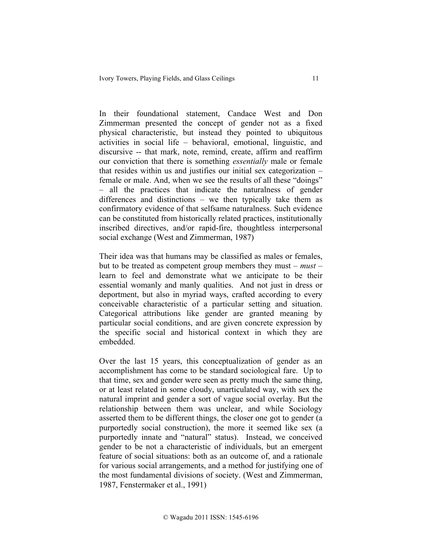In their foundational statement, Candace West and Don Zimmerman presented the concept of gender not as a fixed physical characteristic, but instead they pointed to ubiquitous activities in social life – behavioral, emotional, linguistic, and discursive -- that mark, note, remind, create, affirm and reaffirm our conviction that there is something *essentially* male or female that resides within us and justifies our initial sex categorization – female or male. And, when we see the results of all these "doings" – all the practices that indicate the naturalness of gender differences and distinctions – we then typically take them as confirmatory evidence of that selfsame naturalness. Such evidence can be constituted from historically related practices, institutionally inscribed directives, and/or rapid-fire, thoughtless interpersonal social exchange (West and Zimmerman, 1987)

Their idea was that humans may be classified as males or females, but to be treated as competent group members they must – *must* – learn to feel and demonstrate what we anticipate to be their essential womanly and manly qualities. And not just in dress or deportment, but also in myriad ways, crafted according to every conceivable characteristic of a particular setting and situation. Categorical attributions like gender are granted meaning by particular social conditions, and are given concrete expression by the specific social and historical context in which they are embedded.

Over the last 15 years, this conceptualization of gender as an accomplishment has come to be standard sociological fare. Up to that time, sex and gender were seen as pretty much the same thing, or at least related in some cloudy, unarticulated way, with sex the natural imprint and gender a sort of vague social overlay. But the relationship between them was unclear, and while Sociology asserted them to be different things, the closer one got to gender (a purportedly social construction), the more it seemed like sex (a purportedly innate and "natural" status). Instead, we conceived gender to be not a characteristic of individuals, but an emergent feature of social situations: both as an outcome of, and a rationale for various social arrangements, and a method for justifying one of the most fundamental divisions of society. (West and Zimmerman, 1987, Fenstermaker et al., 1991)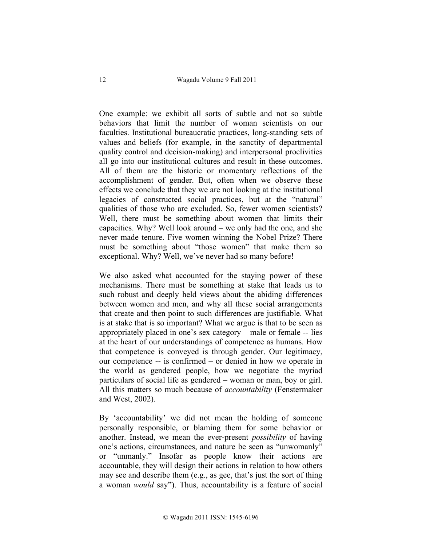One example: we exhibit all sorts of subtle and not so subtle behaviors that limit the number of woman scientists on our faculties. Institutional bureaucratic practices, long-standing sets of values and beliefs (for example, in the sanctity of departmental quality control and decision-making) and interpersonal proclivities all go into our institutional cultures and result in these outcomes. All of them are the historic or momentary reflections of the accomplishment of gender. But, often when we observe these effects we conclude that they we are not looking at the institutional legacies of constructed social practices, but at the "natural" qualities of those who are excluded. So, fewer women scientists? Well, there must be something about women that limits their capacities. Why? Well look around – we only had the one, and she never made tenure. Five women winning the Nobel Prize? There must be something about "those women" that make them so exceptional. Why? Well, we've never had so many before!

We also asked what accounted for the staying power of these mechanisms. There must be something at stake that leads us to such robust and deeply held views about the abiding differences between women and men, and why all these social arrangements that create and then point to such differences are justifiable. What is at stake that is so important? What we argue is that to be seen as appropriately placed in one's sex category – male or female -- lies at the heart of our understandings of competence as humans. How that competence is conveyed is through gender. Our legitimacy, our competence -- is confirmed – or denied in how we operate in the world as gendered people, how we negotiate the myriad particulars of social life as gendered – woman or man, boy or girl. All this matters so much because of *accountability* (Fenstermaker and West, 2002).

By 'accountability' we did not mean the holding of someone personally responsible, or blaming them for some behavior or another. Instead, we mean the ever-present *possibility* of having one's actions, circumstances, and nature be seen as "unwomanly" or "unmanly." Insofar as people know their actions are accountable, they will design their actions in relation to how others may see and describe them (e.g., as gee, that's just the sort of thing a woman *would* say"). Thus, accountability is a feature of social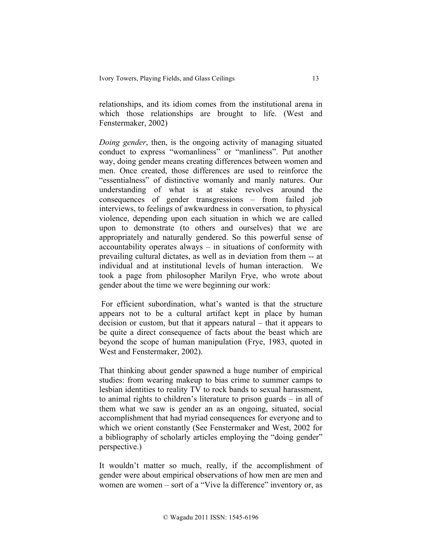relationships, and its idiom comes from the institutional arena in which those relationships are brought to life. (West and Fenstermaker, 2002)

*Doing gender*, then, is the ongoing activity of managing situated conduct to express "womanliness" or "manliness". Put another way, doing gender means creating differences between women and men. Once created, those differences are used to reinforce the "essentialness" of distinctive womanly and manly natures. Our understanding of what is at stake revolves around the consequences of gender transgressions – from failed job interviews, to feelings of awkwardness in conversation, to physical violence, depending upon each situation in which we are called upon to demonstrate (to others and ourselves) that we are appropriately and naturally gendered. So this powerful sense of accountability operates always – in situations of conformity with prevailing cultural dictates, as well as in deviation from them -- at individual and at institutional levels of human interaction. We took a page from philosopher Marilyn Frye, who wrote about gender about the time we were beginning our work:

For efficient subordination, what's wanted is that the structure appears not to be a cultural artifact kept in place by human decision or custom, but that it appears natural – that it appears to be quite a direct consequence of facts about the beast which are beyond the scope of human manipulation (Frye, 1983, quoted in West and Fenstermaker, 2002).

That thinking about gender spawned a huge number of empirical studies: from wearing makeup to bias crime to summer camps to lesbian identities to reality TV to rock bands to sexual harassment, to animal rights to children's literature to prison guards – in all of them what we saw is gender an as an ongoing, situated, social accomplishment that had myriad consequences for everyone and to which we orient constantly (See Fenstermaker and West, 2002 for a bibliography of scholarly articles employing the "doing gender" perspective.)

It wouldn't matter so much, really, if the accomplishment of gender were about empirical observations of how men are men and women are women – sort of a "Vive la difference" inventory or, as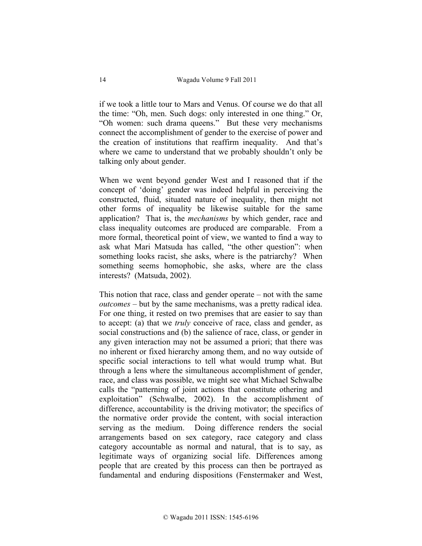if we took a little tour to Mars and Venus. Of course we do that all the time: "Oh, men. Such dogs: only interested in one thing." Or, "Oh women: such drama queens." But these very mechanisms connect the accomplishment of gender to the exercise of power and the creation of institutions that reaffirm inequality. And that's where we came to understand that we probably shouldn't only be talking only about gender.

When we went beyond gender West and I reasoned that if the concept of 'doing' gender was indeed helpful in perceiving the constructed, fluid, situated nature of inequality, then might not other forms of inequality be likewise suitable for the same application? That is, the *mechanisms* by which gender, race and class inequality outcomes are produced are comparable. From a more formal, theoretical point of view, we wanted to find a way to ask what Mari Matsuda has called, "the other question": when something looks racist, she asks, where is the patriarchy? When something seems homophobic, she asks, where are the class interests? (Matsuda, 2002).

This notion that race, class and gender operate – not with the same *outcomes* – but by the same mechanisms, was a pretty radical idea. For one thing, it rested on two premises that are easier to say than to accept: (a) that we *truly* conceive of race, class and gender, as social constructions and (b) the salience of race, class, or gender in any given interaction may not be assumed a priori; that there was no inherent or fixed hierarchy among them, and no way outside of specific social interactions to tell what would trump what. But through a lens where the simultaneous accomplishment of gender, race, and class was possible, we might see what Michael Schwalbe calls the "patterning of joint actions that constitute othering and exploitation" (Schwalbe, 2002). In the accomplishment of difference, accountability is the driving motivator; the specifics of the normative order provide the content, with social interaction serving as the medium. Doing difference renders the social arrangements based on sex category, race category and class category accountable as normal and natural, that is to say, as legitimate ways of organizing social life. Differences among people that are created by this process can then be portrayed as fundamental and enduring dispositions (Fenstermaker and West,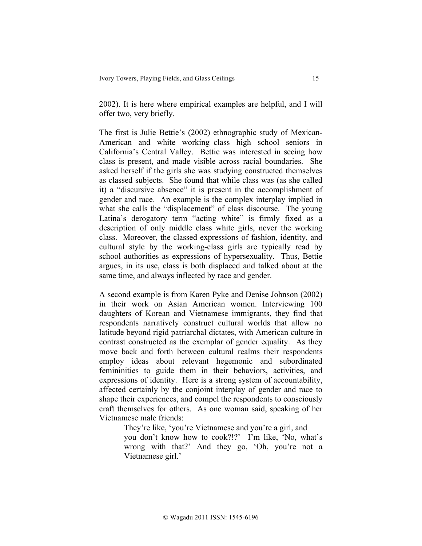2002). It is here where empirical examples are helpful, and I will offer two, very briefly.

The first is Julie Bettie's (2002) ethnographic study of Mexican-American and white working–class high school seniors in California's Central Valley. Bettie was interested in seeing how class is present, and made visible across racial boundaries. She asked herself if the girls she was studying constructed themselves as classed subjects. She found that while class was (as she called it) a "discursive absence" it is present in the accomplishment of gender and race. An example is the complex interplay implied in what she calls the "displacement" of class discourse. The young Latina's derogatory term "acting white" is firmly fixed as a description of only middle class white girls, never the working class. Moreover, the classed expressions of fashion, identity, and cultural style by the working-class girls are typically read by school authorities as expressions of hypersexuality. Thus, Bettie argues, in its use, class is both displaced and talked about at the same time, and always inflected by race and gender.

A second example is from Karen Pyke and Denise Johnson (2002) in their work on Asian American women. Interviewing 100 daughters of Korean and Vietnamese immigrants, they find that respondents narratively construct cultural worlds that allow no latitude beyond rigid patriarchal dictates, with American culture in contrast constructed as the exemplar of gender equality. As they move back and forth between cultural realms their respondents employ ideas about relevant hegemonic and subordinated femininities to guide them in their behaviors, activities, and expressions of identity. Here is a strong system of accountability, affected certainly by the conjoint interplay of gender and race to shape their experiences, and compel the respondents to consciously craft themselves for others. As one woman said, speaking of her Vietnamese male friends:

> They're like, 'you're Vietnamese and you're a girl, and you don't know how to cook?!?' I'm like, 'No, what's wrong with that?' And they go, 'Oh, you're not a Vietnamese girl.'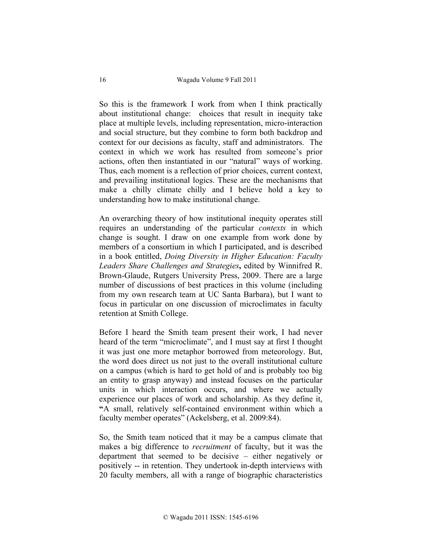So this is the framework I work from when I think practically about institutional change: choices that result in inequity take place at multiple levels, including representation, micro-interaction and social structure, but they combine to form both backdrop and context for our decisions as faculty, staff and administrators. The context in which we work has resulted from someone's prior actions, often then instantiated in our "natural" ways of working. Thus, each moment is a reflection of prior choices, current context, and prevailing institutional logics. These are the mechanisms that make a chilly climate chilly and I believe hold a key to understanding how to make institutional change.

An overarching theory of how institutional inequity operates still requires an understanding of the particular *contexts* in which change is sought. I draw on one example from work done by members of a consortium in which I participated, and is described in a book entitled, *Doing Diversity in Higher Education: Faculty Leaders Share Challenges and Strategies***,** edited by Winnifred R. Brown-Glaude, Rutgers University Press, 2009. There are a large number of discussions of best practices in this volume (including from my own research team at UC Santa Barbara), but I want to focus in particular on one discussion of microclimates in faculty retention at Smith College.

Before I heard the Smith team present their work, I had never heard of the term "microclimate", and I must say at first I thought it was just one more metaphor borrowed from meteorology. But, the word does direct us not just to the overall institutional culture on a campus (which is hard to get hold of and is probably too big an entity to grasp anyway) and instead focuses on the particular units in which interaction occurs, and where we actually experience our places of work and scholarship. As they define it, **"**A small, relatively self-contained environment within which a faculty member operates" (Ackelsberg, et al. 2009:84).

So, the Smith team noticed that it may be a campus climate that makes a big difference to *recruitment* of faculty, but it was the department that seemed to be decisive – either negatively or positively -- in retention. They undertook in-depth interviews with 20 faculty members, all with a range of biographic characteristics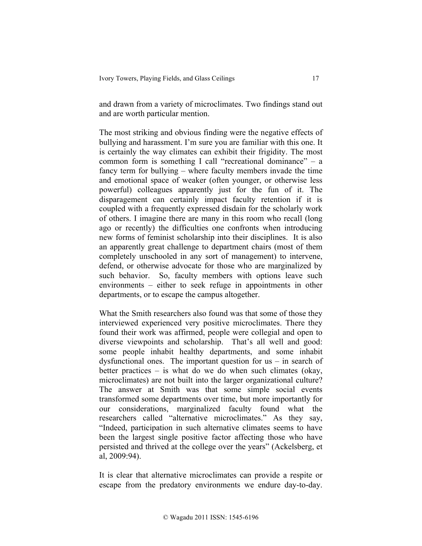and drawn from a variety of microclimates. Two findings stand out and are worth particular mention.

The most striking and obvious finding were the negative effects of bullying and harassment. I'm sure you are familiar with this one. It is certainly the way climates can exhibit their frigidity. The most common form is something I call "recreational dominance" – a fancy term for bullying – where faculty members invade the time and emotional space of weaker (often younger, or otherwise less powerful) colleagues apparently just for the fun of it. The disparagement can certainly impact faculty retention if it is coupled with a frequently expressed disdain for the scholarly work of others. I imagine there are many in this room who recall (long ago or recently) the difficulties one confronts when introducing new forms of feminist scholarship into their disciplines. It is also an apparently great challenge to department chairs (most of them completely unschooled in any sort of management) to intervene, defend, or otherwise advocate for those who are marginalized by such behavior. So, faculty members with options leave such environments – either to seek refuge in appointments in other departments, or to escape the campus altogether.

What the Smith researchers also found was that some of those they interviewed experienced very positive microclimates. There they found their work was affirmed, people were collegial and open to diverse viewpoints and scholarship. That's all well and good: some people inhabit healthy departments, and some inhabit dysfunctional ones. The important question for us – in search of better practices – is what do we do when such climates (okay, microclimates) are not built into the larger organizational culture? The answer at Smith was that some simple social events transformed some departments over time, but more importantly for our considerations, marginalized faculty found what the researchers called "alternative microclimates." As they say, "Indeed, participation in such alternative climates seems to have been the largest single positive factor affecting those who have persisted and thrived at the college over the years" (Ackelsberg, et al, 2009:94).

It is clear that alternative microclimates can provide a respite or escape from the predatory environments we endure day-to-day.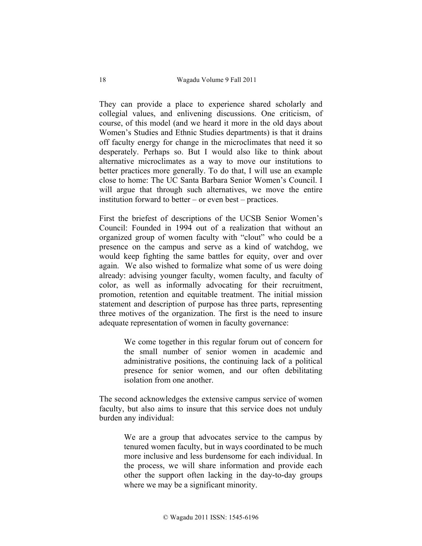They can provide a place to experience shared scholarly and collegial values, and enlivening discussions. One criticism, of course, of this model (and we heard it more in the old days about Women's Studies and Ethnic Studies departments) is that it drains off faculty energy for change in the microclimates that need it so desperately. Perhaps so. But I would also like to think about alternative microclimates as a way to move our institutions to better practices more generally. To do that, I will use an example close to home: The UC Santa Barbara Senior Women's Council. I will argue that through such alternatives, we move the entire institution forward to better – or even best – practices.

First the briefest of descriptions of the UCSB Senior Women's Council: Founded in 1994 out of a realization that without an organized group of women faculty with "clout" who could be a presence on the campus and serve as a kind of watchdog, we would keep fighting the same battles for equity, over and over again. We also wished to formalize what some of us were doing already: advising younger faculty, women faculty, and faculty of color, as well as informally advocating for their recruitment, promotion, retention and equitable treatment. The initial mission statement and description of purpose has three parts, representing three motives of the organization. The first is the need to insure adequate representation of women in faculty governance:

> We come together in this regular forum out of concern for the small number of senior women in academic and administrative positions, the continuing lack of a political presence for senior women, and our often debilitating isolation from one another.

The second acknowledges the extensive campus service of women faculty, but also aims to insure that this service does not unduly burden any individual:

> We are a group that advocates service to the campus by tenured women faculty, but in ways coordinated to be much more inclusive and less burdensome for each individual. In the process, we will share information and provide each other the support often lacking in the day-to-day groups where we may be a significant minority.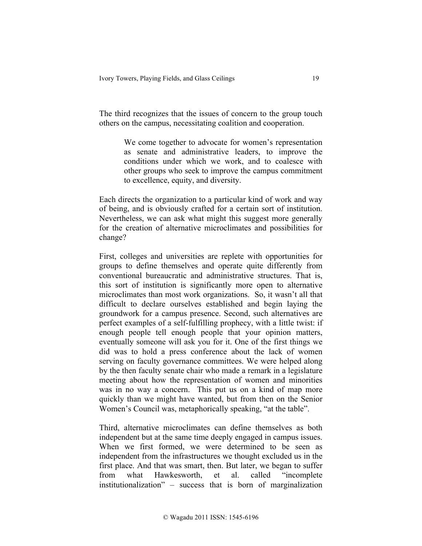The third recognizes that the issues of concern to the group touch others on the campus, necessitating coalition and cooperation.

> We come together to advocate for women's representation as senate and administrative leaders, to improve the conditions under which we work, and to coalesce with other groups who seek to improve the campus commitment to excellence, equity, and diversity.

Each directs the organization to a particular kind of work and way of being, and is obviously crafted for a certain sort of institution. Nevertheless, we can ask what might this suggest more generally for the creation of alternative microclimates and possibilities for change?

First, colleges and universities are replete with opportunities for groups to define themselves and operate quite differently from conventional bureaucratic and administrative structures. That is, this sort of institution is significantly more open to alternative microclimates than most work organizations. So, it wasn't all that difficult to declare ourselves established and begin laying the groundwork for a campus presence. Second, such alternatives are perfect examples of a self-fulfilling prophecy, with a little twist: if enough people tell enough people that your opinion matters, eventually someone will ask you for it. One of the first things we did was to hold a press conference about the lack of women serving on faculty governance committees. We were helped along by the then faculty senate chair who made a remark in a legislature meeting about how the representation of women and minorities was in no way a concern. This put us on a kind of map more quickly than we might have wanted, but from then on the Senior Women's Council was, metaphorically speaking, "at the table".

Third, alternative microclimates can define themselves as both independent but at the same time deeply engaged in campus issues. When we first formed, we were determined to be seen as independent from the infrastructures we thought excluded us in the first place. And that was smart, then. But later, we began to suffer from what Hawkesworth, et al. called "incomplete institutionalization" – success that is born of marginalization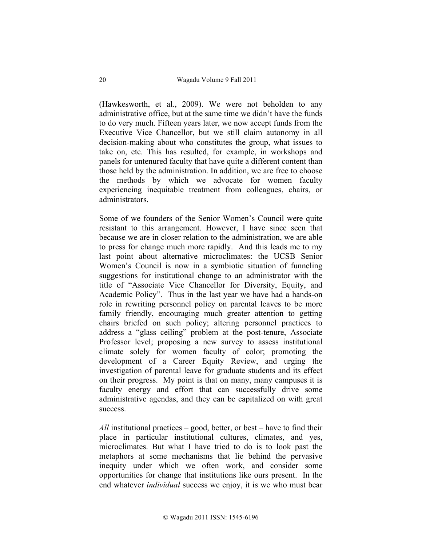(Hawkesworth, et al., 2009). We were not beholden to any administrative office, but at the same time we didn't have the funds to do very much. Fifteen years later, we now accept funds from the Executive Vice Chancellor, but we still claim autonomy in all decision-making about who constitutes the group, what issues to take on, etc. This has resulted, for example, in workshops and panels for untenured faculty that have quite a different content than those held by the administration. In addition, we are free to choose the methods by which we advocate for women faculty experiencing inequitable treatment from colleagues, chairs, or administrators.

Some of we founders of the Senior Women's Council were quite resistant to this arrangement. However, I have since seen that because we are in closer relation to the administration, we are able to press for change much more rapidly. And this leads me to my last point about alternative microclimates: the UCSB Senior Women's Council is now in a symbiotic situation of funneling suggestions for institutional change to an administrator with the title of "Associate Vice Chancellor for Diversity, Equity, and Academic Policy". Thus in the last year we have had a hands-on role in rewriting personnel policy on parental leaves to be more family friendly, encouraging much greater attention to getting chairs briefed on such policy; altering personnel practices to address a "glass ceiling" problem at the post-tenure, Associate Professor level; proposing a new survey to assess institutional climate solely for women faculty of color; promoting the development of a Career Equity Review, and urging the investigation of parental leave for graduate students and its effect on their progress. My point is that on many, many campuses it is faculty energy and effort that can successfully drive some administrative agendas, and they can be capitalized on with great success.

*All* institutional practices – good, better, or best – have to find their place in particular institutional cultures, climates, and yes, microclimates. But what I have tried to do is to look past the metaphors at some mechanisms that lie behind the pervasive inequity under which we often work, and consider some opportunities for change that institutions like ours present. In the end whatever *individual* success we enjoy, it is we who must bear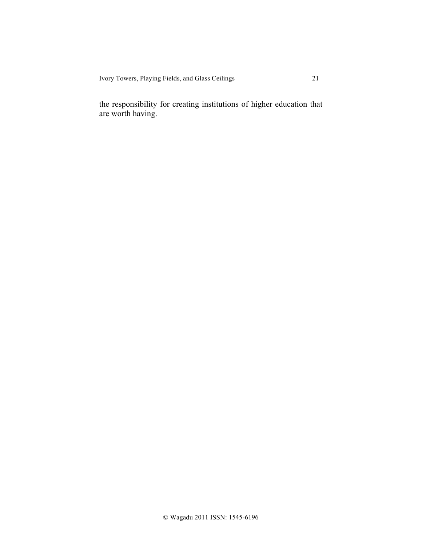Ivory Towers, Playing Fields, and Glass Ceilings 21

the responsibility for creating institutions of higher education that are worth having.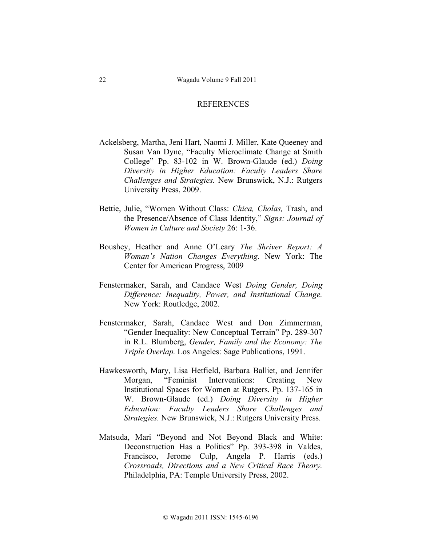## REFERENCES

- Ackelsberg, Martha, Jeni Hart, Naomi J. Miller, Kate Queeney and Susan Van Dyne, "Faculty Microclimate Change at Smith College" Pp. 83-102 in W. Brown-Glaude (ed.) *Doing Diversity in Higher Education: Faculty Leaders Share Challenges and Strategies.* New Brunswick, N.J.: Rutgers University Press, 2009.
- Bettie, Julie, "Women Without Class: *Chica, Cholas,* Trash, and the Presence/Absence of Class Identity," *Signs: Journal of Women in Culture and Society* 26: 1-36.
- Boushey, Heather and Anne O'Leary *The Shriver Report: A Woman's Nation Changes Everything.* New York: The Center for American Progress, 2009
- Fenstermaker, Sarah, and Candace West *Doing Gender, Doing Difference: Inequality, Power, and Institutional Change.*  New York: Routledge, 2002.
- Fenstermaker, Sarah, Candace West and Don Zimmerman, "Gender Inequality: New Conceptual Terrain" Pp. 289-307 in R.L. Blumberg, *Gender, Family and the Economy: The Triple Overlap.* Los Angeles: Sage Publications, 1991.
- Hawkesworth, Mary, Lisa Hetfield, Barbara Balliet, and Jennifer Morgan, "Feminist Interventions: Creating New Institutional Spaces for Women at Rutgers. Pp. 137-165 in W. Brown-Glaude (ed.) *Doing Diversity in Higher Education: Faculty Leaders Share Challenges and Strategies.* New Brunswick, N.J.: Rutgers University Press.
- Matsuda, Mari "Beyond and Not Beyond Black and White: Deconstruction Has a Politics" Pp. 393-398 in Valdes, Francisco, Jerome Culp, Angela P. Harris (eds.) *Crossroads, Directions and a New Critical Race Theory.*  Philadelphia, PA: Temple University Press, 2002.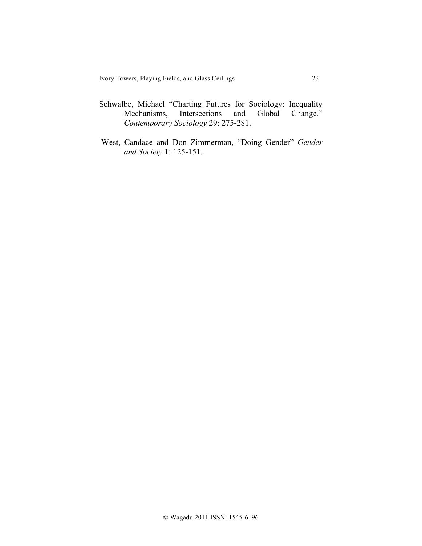- Schwalbe, Michael "Charting Futures for Sociology: Inequality Mechanisms, Intersections and Global Change." *Contemporary Sociology* 29: 275-281.
- West, Candace and Don Zimmerman, "Doing Gender" Gender *and Society* 1: 125-151.